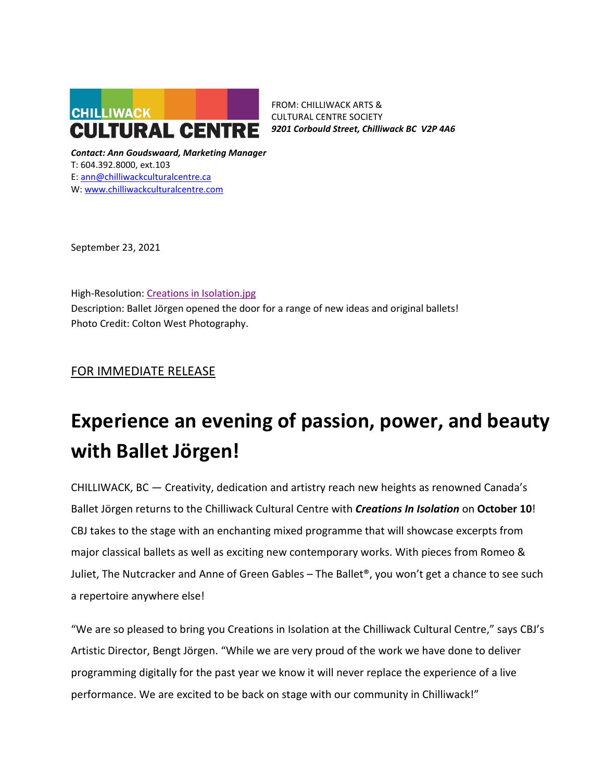

FROM: CHILLIWACK ARTS & CULTURAL CENTRE SOCIETY *9201 Corbould Street, Chilliwack BC V2P 4A6*

*Contact: Ann Goudswaard, Marketing Manager* T: 604.392.8000, ext.103 E: [ann@chilliwackculturalcentre.ca](mailto:ann@chilliwackculturalcentre.ca) W: [www.chilliwackculturalcentre.com](http://www.chilliwackculturalcentre.com/)

September 23, 2021

High-Resolution: [Creations in Isolation.jpg](https://www.chilliwackculturalcentre.ca/wordpress/wp-content/uploads/2021/09/CBJCreationsinIsolation-3.jpg) Description: Ballet Jörgen opened the door for a range of new ideas and original ballets! Photo Credit: Colton West Photography.

# FOR IMMEDIATE RELEASE

# **Experience an evening of passion, power, and beauty with Ballet Jörgen!**

CHILLIWACK, BC — Creativity, dedication and artistry reach new heights as renowned Canada's Ballet Jörgen returns to the Chilliwack Cultural Centre with *Creations In Isolation* on **October 10**! CBJ takes to the stage with an enchanting mixed programme that will showcase excerpts from major classical ballets as well as exciting new contemporary works. With pieces from Romeo & Juliet, The Nutcracker and Anne of Green Gables – The Ballet®, you won't get a chance to see such a repertoire anywhere else!

"We are so pleased to bring you Creations in Isolation at the Chilliwack Cultural Centre," says CBJ's Artistic Director, Bengt Jörgen. "While we are very proud of the work we have done to deliver programming digitally for the past year we know it will never replace the experience of a live performance. We are excited to be back on stage with our community in Chilliwack!"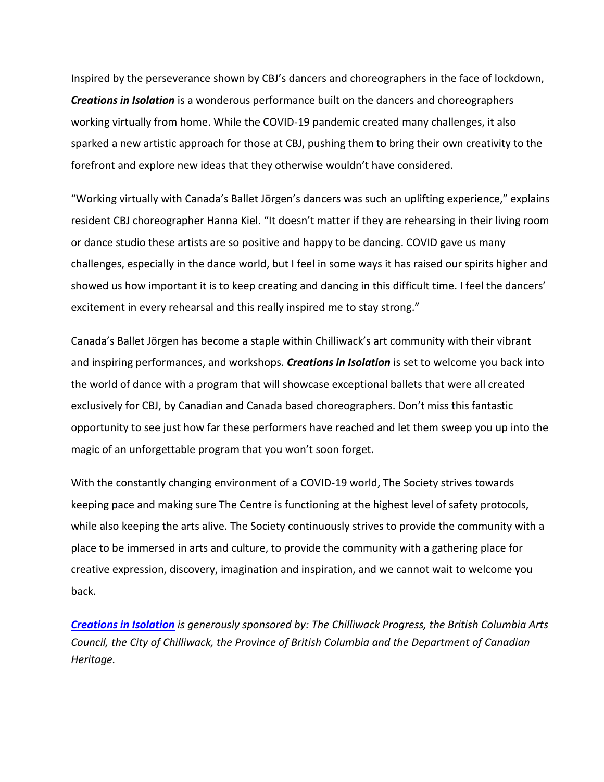Inspired by the perseverance shown by CBJ's dancers and choreographers in the face of lockdown, *Creations in Isolation* is a wonderous performance built on the dancers and choreographers working virtually from home. While the COVID-19 pandemic created many challenges, it also sparked a new artistic approach for those at CBJ, pushing them to bring their own creativity to the forefront and explore new ideas that they otherwise wouldn't have considered.

"Working virtually with Canada's Ballet Jörgen's dancers was such an uplifting experience," explains resident CBJ choreographer Hanna Kiel. "It doesn't matter if they are rehearsing in their living room or dance studio these artists are so positive and happy to be dancing. COVID gave us many challenges, especially in the dance world, but I feel in some ways it has raised our spirits higher and showed us how important it is to keep creating and dancing in this difficult time. I feel the dancers' excitement in every rehearsal and this really inspired me to stay strong."

Canada's Ballet Jörgen has become a staple within Chilliwack's art community with their vibrant and inspiring performances, and workshops. *Creations in Isolation* is set to welcome you back into the world of dance with a program that will showcase exceptional ballets that were all created exclusively for CBJ, by Canadian and Canada based choreographers. Don't miss this fantastic opportunity to see just how far these performers have reached and let them sweep you up into the magic of an unforgettable program that you won't soon forget.

With the constantly changing environment of a COVID-19 world, The Society strives towards keeping pace and making sure The Centre is functioning at the highest level of safety protocols, while also keeping the arts alive. The Society continuously strives to provide the community with a place to be immersed in arts and culture, to provide the community with a gathering place for creative expression, discovery, imagination and inspiration, and we cannot wait to welcome you back.

*[Creations in Isolation](https://www.chilliwackculturalcentre.ca/event/creations-in-isolation/) is generously sponsored by: The Chilliwack Progress, the British Columbia Arts Council, the City of Chilliwack, the Province of British Columbia and the Department of Canadian Heritage.*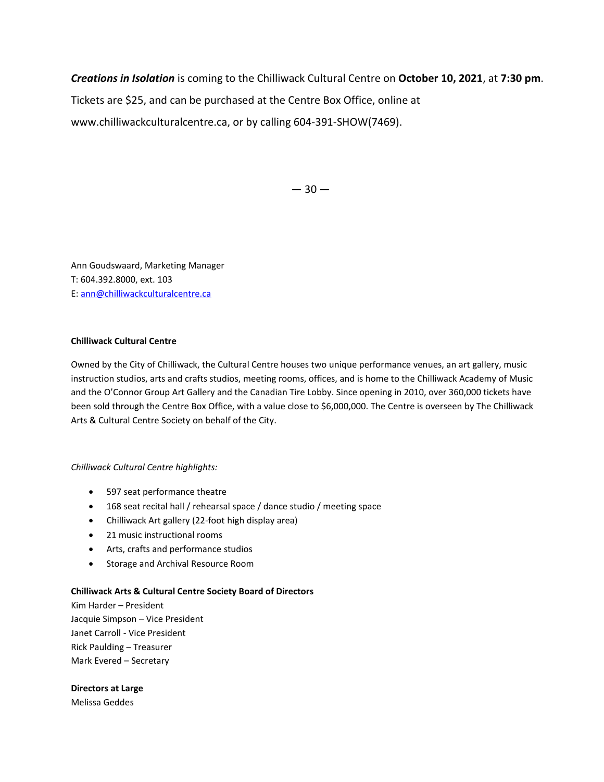*Creations in Isolation* is coming to the Chilliwack Cultural Centre on **October 10, 2021**, at **7:30 pm**.

Tickets are \$25, and can be purchased at the Centre Box Office, online at

www.chilliwackculturalcentre.ca, or by calling 604-391-SHOW(7469).

 $-30-$ 

Ann Goudswaard, Marketing Manager T: 604.392.8000, ext. 103 E: [ann@chilliwackculturalcentre.ca](mailto:ann@chilliwackculturalcentre.ca)

## **Chilliwack Cultural Centre**

Owned by the City of Chilliwack, the Cultural Centre houses two unique performance venues, an art gallery, music instruction studios, arts and crafts studios, meeting rooms, offices, and is home to the Chilliwack Academy of Music and the O'Connor Group Art Gallery and the Canadian Tire Lobby. Since opening in 2010, over 360,000 tickets have been sold through the Centre Box Office, with a value close to \$6,000,000. The Centre is overseen by The Chilliwack Arts & Cultural Centre Society on behalf of the City.

### *Chilliwack Cultural Centre highlights:*

- 597 seat performance theatre
- 168 seat recital hall / rehearsal space / dance studio / meeting space
- Chilliwack Art gallery (22-foot high display area)
- 21 music instructional rooms
- Arts, crafts and performance studios
- Storage and Archival Resource Room

### **Chilliwack Arts & Cultural Centre Society Board of Directors**

Kim Harder – President Jacquie Simpson – Vice President Janet Carroll - Vice President Rick Paulding – Treasurer Mark Evered – Secretary

### **Directors at Large**

Melissa Geddes